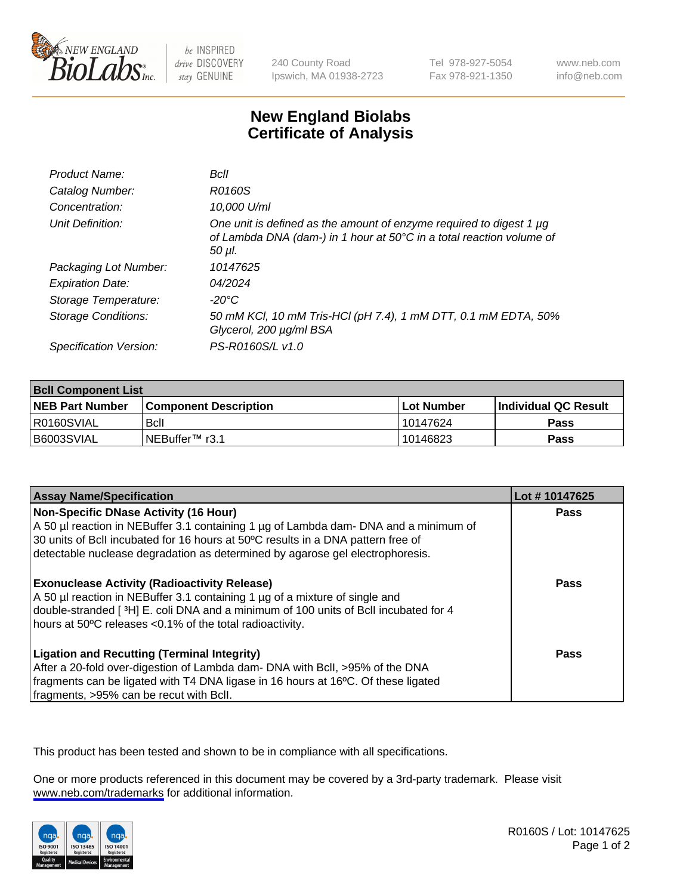

be INSPIRED drive DISCOVERY stay GENUINE

240 County Road Ipswich, MA 01938-2723 Tel 978-927-5054 Fax 978-921-1350

www.neb.com info@neb.com

## **New England Biolabs Certificate of Analysis**

| Product Name:           | Bcll                                                                                                                                                  |
|-------------------------|-------------------------------------------------------------------------------------------------------------------------------------------------------|
| Catalog Number:         | R0160S                                                                                                                                                |
| Concentration:          | 10,000 U/ml                                                                                                                                           |
| Unit Definition:        | One unit is defined as the amount of enzyme required to digest 1 µg<br>of Lambda DNA (dam-) in 1 hour at 50°C in a total reaction volume of<br>50 µl. |
| Packaging Lot Number:   | 10147625                                                                                                                                              |
| <b>Expiration Date:</b> | 04/2024                                                                                                                                               |
| Storage Temperature:    | -20°C                                                                                                                                                 |
| Storage Conditions:     | 50 mM KCl, 10 mM Tris-HCl (pH 7.4), 1 mM DTT, 0.1 mM EDTA, 50%<br>Glycerol, 200 µg/ml BSA                                                             |
| Specification Version:  | PS-R0160S/L v1.0                                                                                                                                      |

| <b>Bcll Component List</b> |                         |             |                       |  |
|----------------------------|-------------------------|-------------|-----------------------|--|
| <b>NEB Part Number</b>     | l Component Description | ⊺Lot Number | ∣Individual QC Result |  |
| I R0160SVIAL               | <b>B</b> cll            | 10147624    | <b>Pass</b>           |  |
| B6003SVIAL                 | INEBuffer™ r3.1         | 10146823    | <b>Pass</b>           |  |

| <b>Assay Name/Specification</b>                                                                                                                                                                                                                                                                           | Lot #10147625 |
|-----------------------------------------------------------------------------------------------------------------------------------------------------------------------------------------------------------------------------------------------------------------------------------------------------------|---------------|
| <b>Non-Specific DNase Activity (16 Hour)</b><br>A 50 µl reaction in NEBuffer 3.1 containing 1 µg of Lambda dam- DNA and a minimum of<br>30 units of BcII incubated for 16 hours at 50°C results in a DNA pattern free of<br>detectable nuclease degradation as determined by agarose gel electrophoresis. | <b>Pass</b>   |
| <b>Exonuclease Activity (Radioactivity Release)</b><br>A 50 µl reaction in NEBuffer 3.1 containing 1 µg of a mixture of single and<br>double-stranded [3H] E. coli DNA and a minimum of 100 units of Bcll incubated for 4<br>hours at 50°C releases <0.1% of the total radioactivity.                     | Pass          |
| <b>Ligation and Recutting (Terminal Integrity)</b><br>After a 20-fold over-digestion of Lambda dam- DNA with Bcll, >95% of the DNA<br>fragments can be ligated with T4 DNA ligase in 16 hours at 16°C. Of these ligated<br>fragments, >95% can be recut with Bcll.                                        | Pass          |

This product has been tested and shown to be in compliance with all specifications.

One or more products referenced in this document may be covered by a 3rd-party trademark. Please visit <www.neb.com/trademarks>for additional information.